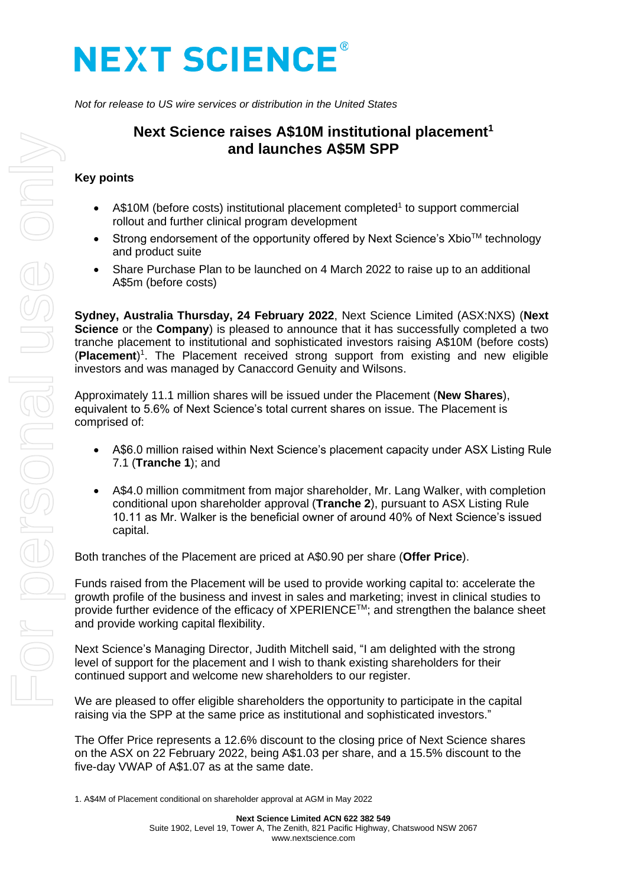# **NEXT SCIENCE®**

*Not for release to US wire services or distribution in the United States*

## **Next Science raises A\$10M institutional placement<sup>1</sup> and launches A\$5M SPP**

### **Key points**

- A\$10M (before costs) institutional placement completed<sup>1</sup> to support commercial rollout and further clinical program development
- Strong endorsement of the opportunity offered by Next Science's Xbio<sup>TM</sup> technology and product suite
- Share Purchase Plan to be launched on 4 March 2022 to raise up to an additional A\$5m (before costs)

**Sydney, Australia Thursday, 24 February 2022**, Next Science Limited (ASX:NXS) (**Next Science** or the **Company**) is pleased to announce that it has successfully completed a two tranche placement to institutional and sophisticated investors raising A\$10M (before costs) (Placement)<sup>1</sup>. The Placement received strong support from existing and new eligible investors and was managed by Canaccord Genuity and Wilsons.

Approximately 11.1 million shares will be issued under the Placement (**New Shares**), equivalent to 5.6% of Next Science's total current shares on issue. The Placement is comprised of:

- A\$6.0 million raised within Next Science's placement capacity under ASX Listing Rule 7.1 (**Tranche 1**); and
- A\$4.0 million commitment from major shareholder, Mr. Lang Walker, with completion conditional upon shareholder approval (**Tranche 2**), pursuant to ASX Listing Rule 10.11 as Mr. Walker is the beneficial owner of around 40% of Next Science's issued capital.

Both tranches of the Placement are priced at A\$0.90 per share (**Offer Price**).

Funds raised from the Placement will be used to provide working capital to: accelerate the growth profile of the business and invest in sales and marketing; invest in clinical studies to provide further evidence of the efficacy of XPERIENCE™; and strengthen the balance sheet and provide working capital flexibility.

Next Science's Managing Director, Judith Mitchell said, "I am delighted with the strong level of support for the placement and I wish to thank existing shareholders for their continued support and welcome new shareholders to our register.

We are pleased to offer eligible shareholders the opportunity to participate in the capital raising via the SPP at the same price as institutional and sophisticated investors."

The Offer Price represents a 12.6% discount to the closing price of Next Science shares on the ASX on 22 February 2022, being A\$1.03 per share, and a 15.5% discount to the five-day VWAP of A\$1.07 as at the same date.

<sup>1.</sup> A\$4M of Placement conditional on shareholder approval at AGM in May 2022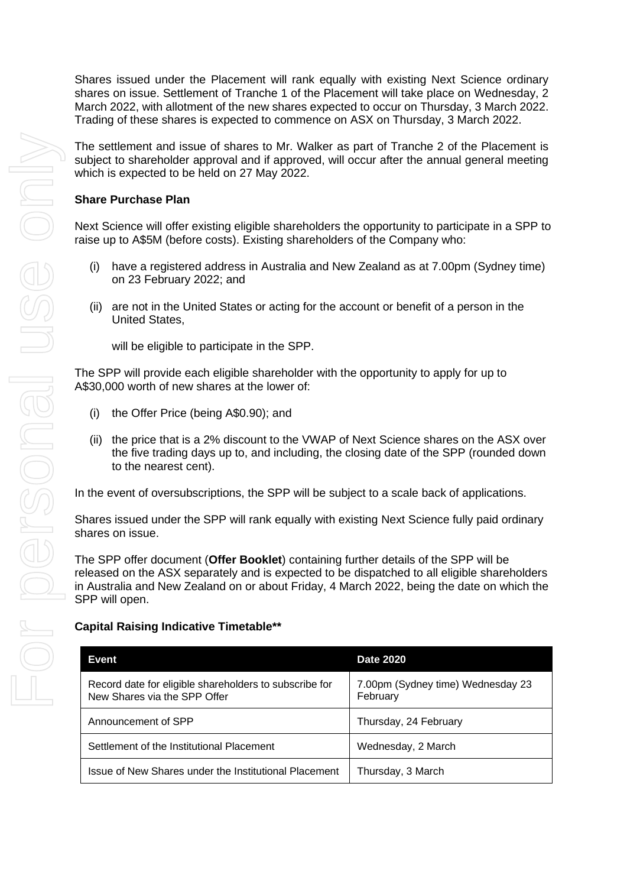Shares issued under the Placement will rank equally with existing Next Science ordinary shares on issue. Settlement of Tranche 1 of the Placement will take place on Wednesday, 2 March 2022, with allotment of the new shares expected to occur on Thursday, 3 March 2022. Trading of these shares is expected to commence on ASX on Thursday, 3 March 2022.

The settlement and issue of shares to Mr. Walker as part of Tranche 2 of the Placement is subject to shareholder approval and if approved, will occur after the annual general meeting which is expected to be held on 27 May 2022.

#### **Share Purchase Plan**

Next Science will offer existing eligible shareholders the opportunity to participate in a SPP to raise up to A\$5M (before costs). Existing shareholders of the Company who:

- (i) have a registered address in Australia and New Zealand as at 7.00pm (Sydney time) on 23 February 2022; and
- (ii) are not in the United States or acting for the account or benefit of a person in the United States,

will be eligible to participate in the SPP.

The SPP will provide each eligible shareholder with the opportunity to apply for up to A\$30,000 worth of new shares at the lower of:

- (i) the Offer Price (being A\$0.90); and
- (ii) the price that is a 2% discount to the VWAP of Next Science shares on the ASX over the five trading days up to, and including, the closing date of the SPP (rounded down to the nearest cent).

In the event of oversubscriptions, the SPP will be subject to a scale back of applications.

Shares issued under the SPP will rank equally with existing Next Science fully paid ordinary shares on issue.

The SPP offer document (**Offer Booklet**) containing further details of the SPP will be released on the ASX separately and is expected to be dispatched to all eligible shareholders in Australia and New Zealand on or about Friday, 4 March 2022, being the date on which the SPP will open.

#### **Capital Raising Indicative Timetable\*\***

| Event                                                                                  | <b>Date 2020</b>                              |
|----------------------------------------------------------------------------------------|-----------------------------------------------|
| Record date for eligible shareholders to subscribe for<br>New Shares via the SPP Offer | 7.00pm (Sydney time) Wednesday 23<br>February |
| Announcement of SPP                                                                    | Thursday, 24 February                         |
| Settlement of the Institutional Placement                                              | Wednesday, 2 March                            |
| Issue of New Shares under the Institutional Placement                                  | Thursday, 3 March                             |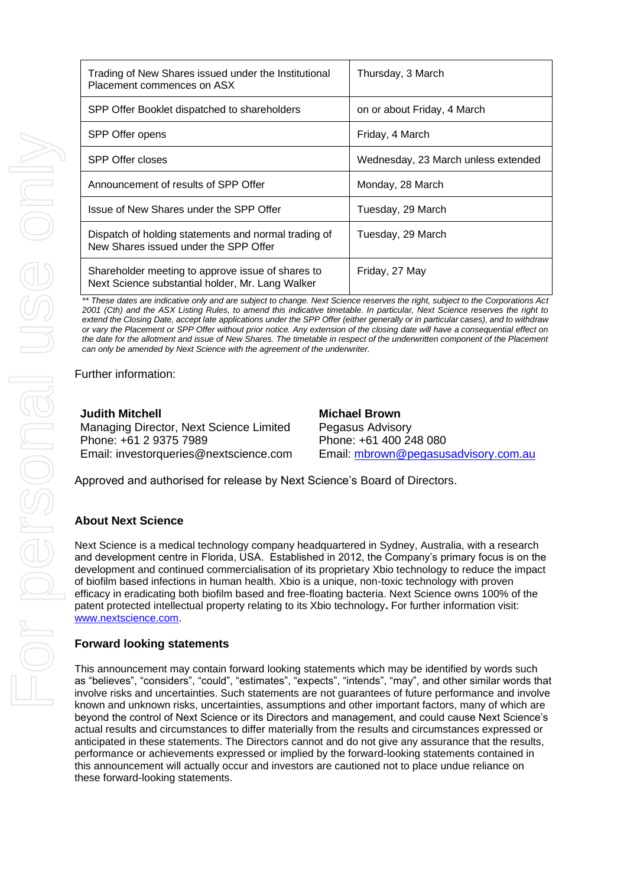| Trading of New Shares issued under the Institutional<br>Placement commences on ASX                    | Thursday, 3 March                   |
|-------------------------------------------------------------------------------------------------------|-------------------------------------|
| SPP Offer Booklet dispatched to shareholders                                                          | on or about Friday, 4 March         |
| SPP Offer opens                                                                                       | Friday, 4 March                     |
| <b>SPP Offer closes</b>                                                                               | Wednesday, 23 March unless extended |
| Announcement of results of SPP Offer                                                                  | Monday, 28 March                    |
| Issue of New Shares under the SPP Offer                                                               | Tuesday, 29 March                   |
| Dispatch of holding statements and normal trading of<br>New Shares issued under the SPP Offer         | Tuesday, 29 March                   |
| Shareholder meeting to approve issue of shares to<br>Next Science substantial holder, Mr. Lang Walker | Friday, 27 May                      |

*\*\* These dates are indicative only and are subject to change. Next Science reserves the right, subject to the Corporations Act 2001 (Cth) and the ASX Listing Rules, to amend this indicative timetable. In particular, Next Science reserves the right to extend the Closing Date, accept late applications under the SPP Offer (either generally or in particular cases), and to withdraw or vary the Placement or SPP Offer without prior notice. Any extension of the closing date will have a consequential effect on the date for the allotment and issue of New Shares. The timetable in respect of the underwritten component of the Placement can only be amended by Next Science with the agreement of the underwriter.*

Further information:

**Judith Mitchell** Managing Director, Next Science Limited Phone: +61 2 9375 7989 Email: [investorqueries@nextscience.com](mailto:investorqueries@nextscience.com)

**Michael Brown** Pegasus Advisory Phone: +61 400 248 080 Email: [mbrown@pegasusadvisory.com.au](mailto:mbrown@pegasusadvisory.com.au)

Approved and authorised for release by Next Science's Board of Directors.

#### **About Next Science**

Next Science is a medical technology company headquartered in Sydney, Australia, with a research and development centre in Florida, USA. Established in 2012, the Company's primary focus is on the development and continued commercialisation of its proprietary Xbio technology to reduce the impact of biofilm based infections in human health. Xbio is a unique, non-toxic technology with proven efficacy in eradicating both biofilm based and free-floating bacteria. Next Science owns 100% of the patent protected intellectual property relating to its Xbio technology**.** For further information visit: [www.nextscience.com.](http://www.nextscience.com/)

#### **Forward looking statements**

This announcement may contain forward looking statements which may be identified by words such as "believes", "considers", "could", "estimates", "expects", "intends", "may", and other similar words that involve risks and uncertainties. Such statements are not guarantees of future performance and involve known and unknown risks, uncertainties, assumptions and other important factors, many of which are beyond the control of Next Science or its Directors and management, and could cause Next Science's actual results and circumstances to differ materially from the results and circumstances expressed or anticipated in these statements. The Directors cannot and do not give any assurance that the results, performance or achievements expressed or implied by the forward-looking statements contained in this announcement will actually occur and investors are cautioned not to place undue reliance on these forward-looking statements.